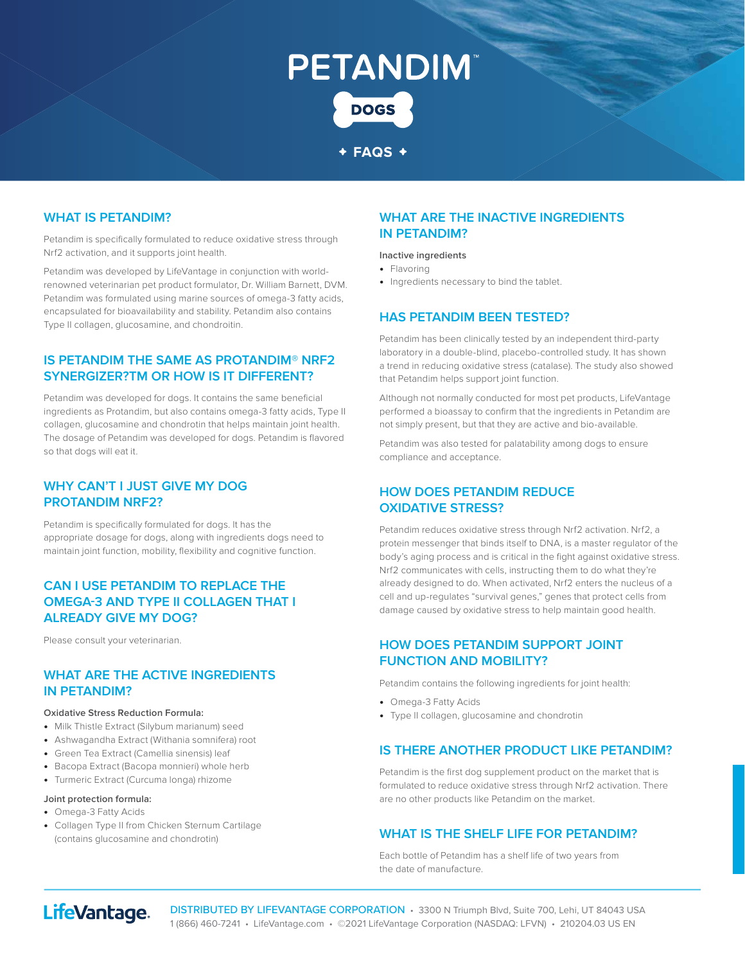# **PETANDIM DOGS**

#### **FAQS**

#### **WHAT IS PETANDIM?**

Petandim is specifically formulated to reduce oxidative stress through Nrf2 activation, and it supports joint health.

Petandim was developed by LifeVantage in conjunction with worldrenowned veterinarian pet product formulator, Dr. William Barnett, DVM. Petandim was formulated using marine sources of omega-3 fatty acids, encapsulated for bioavailability and stability. Petandim also contains Type II collagen, glucosamine, and chondroitin.

#### **IS PETANDIM THE SAME AS PROTANDIM® NRF2 SYNERGIZER?TM OR HOW IS IT DIFFERENT?**

Petandim was developed for dogs. It contains the same beneficial ingredients as Protandim, but also contains omega-3 fatty acids, Type II collagen, glucosamine and chondrotin that helps maintain joint health. The dosage of Petandim was developed for dogs. Petandim is flavored so that dogs will eat it.

#### **WHY CAN'T I JUST GIVE MY DOG PROTANDIM NRF2?**

Petandim is specifically formulated for dogs. It has the appropriate dosage for dogs, along with ingredients dogs need to maintain joint function, mobility, flexibility and cognitive function.

#### **CAN I USE PETANDIM TO REPLACE THE OMEGA-3 AND TYPE II COLLAGEN THAT I ALREADY GIVE MY DOG?**

Please consult your veterinarian.

#### **WHAT ARE THE ACTIVE INGREDIENTS IN PETANDIM?**

#### **Oxidative Stress Reduction Formula:**

- **•** Milk Thistle Extract (Silybum marianum) seed
- **•** Ashwagandha Extract (Withania somnifera) root
- **•** Green Tea Extract (Camellia sinensis) leaf
- **•** Bacopa Extract (Bacopa monnieri) whole herb
- **•** Turmeric Extract (Curcuma longa) rhizome

#### **Joint protection formula:**

- **•** Omega-3 Fatty Acids
- **•** Collagen Type II from Chicken Sternum Cartilage (contains glucosamine and chondrotin)

#### **WHAT ARE THE INACTIVE INGREDIENTS IN PETANDIM?**

#### **Inactive ingredients**

- **•** Flavoring
- **•** Ingredients necessary to bind the tablet.

#### **HAS PETANDIM BEEN TESTED?**

Petandim has been clinically tested by an independent third-party laboratory in a double-blind, placebo-controlled study. It has shown a trend in reducing oxidative stress (catalase). The study also showed that Petandim helps support joint function.

Although not normally conducted for most pet products, LifeVantage performed a bioassay to confirm that the ingredients in Petandim are not simply present, but that they are active and bio-available.

Petandim was also tested for palatability among dogs to ensure compliance and acceptance.

#### **HOW DOES PETANDIM REDUCE OXIDATIVE STRESS?**

Petandim reduces oxidative stress through Nrf2 activation. Nrf2, a protein messenger that binds itself to DNA, is a master regulator of the body's aging process and is critical in the fight against oxidative stress. Nrf2 communicates with cells, instructing them to do what they're already designed to do. When activated, Nrf2 enters the nucleus of a cell and up-regulates "survival genes," genes that protect cells from damage caused by oxidative stress to help maintain good health.

#### **HOW DOES PETANDIM SUPPORT JOINT FUNCTION AND MOBILITY?**

Petandim contains the following ingredients for joint health:

- **•** Omega-3 Fatty Acids
- **•** Type II collagen, glucosamine and chondrotin

#### **IS THERE ANOTHER PRODUCT LIKE PETANDIM?**

Petandim is the first dog supplement product on the market that is formulated to reduce oxidative stress through Nrf2 activation. There are no other products like Petandim on the market.

#### **WHAT IS THE SHELF LIFE FOR PETANDIM?**

Each bottle of Petandim has a shelf life of two years from the date of manufacture.

## LifeVantage.

DISTRIBUTED BY LIFEVANTAGE CORPORATION · 3300 N Triumph Blvd, Suite 700, Lehi, UT 84043 USA 1 (866) 460-7241 • LifeVantage.com • ©2021 LifeVantage Corporation (NASDAQ: LFVN) • 210204.03 US EN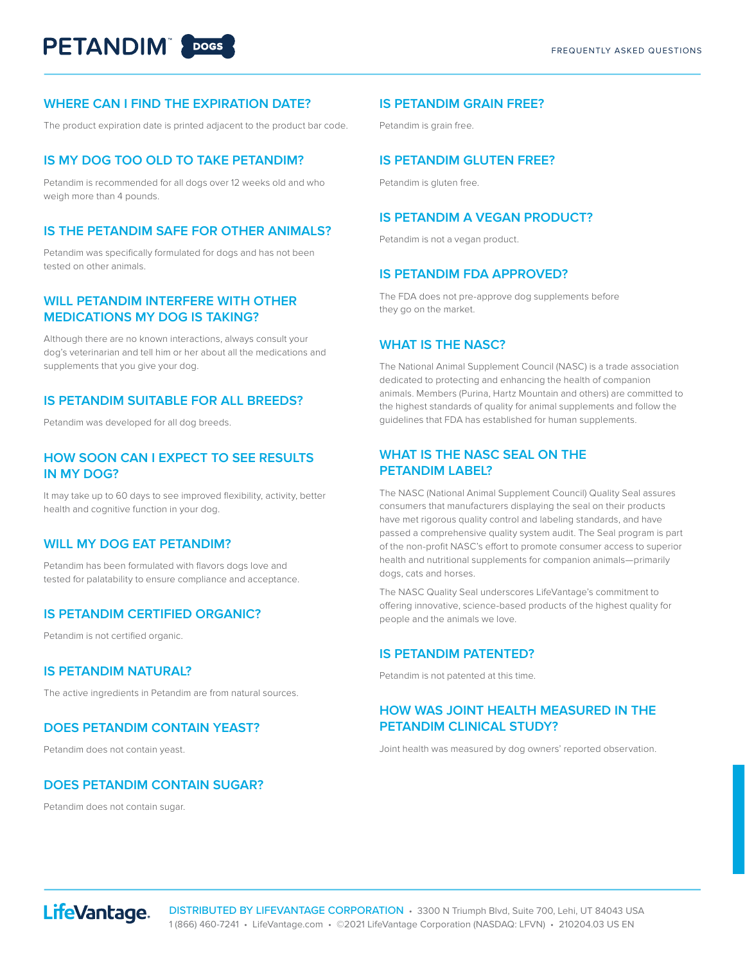#### **WHERE CAN I FIND THE EXPIRATION DATE?**

The product expiration date is printed adjacent to the product bar code.

#### **IS MY DOG TOO OLD TO TAKE PETANDIM?**

Petandim is recommended for all dogs over 12 weeks old and who weigh more than 4 pounds.

#### **IS THE PETANDIM SAFE FOR OTHER ANIMALS?**

Petandim was specifically formulated for dogs and has not been tested on other animals.

#### **WILL PETANDIM INTERFERE WITH OTHER MEDICATIONS MY DOG IS TAKING?**

Although there are no known interactions, always consult your dog's veterinarian and tell him or her about all the medications and supplements that you give your dog.

#### **IS PETANDIM SUITABLE FOR ALL BREEDS?**

Petandim was developed for all dog breeds.

#### **HOW SOON CAN I EXPECT TO SEE RESULTS IN MY DOG?**

It may take up to 60 days to see improved flexibility, activity, better health and cognitive function in your dog.

#### **WILL MY DOG EAT PETANDIM?**

Petandim has been formulated with flavors dogs love and tested for palatability to ensure compliance and acceptance.

#### **IS PETANDIM CERTIFIED ORGANIC?**

Petandim is not certified organic.

#### **IS PETANDIM NATURAL?**

The active ingredients in Petandim are from natural sources.

#### **DOES PETANDIM CONTAIN YEAST?**

Petandim does not contain yeast.

#### **DOES PETANDIM CONTAIN SUGAR?**

Petandim does not contain sugar.

#### **IS PETANDIM GRAIN FREE?**

Petandim is grain free.

#### **IS PETANDIM GLUTEN FREE?**

Petandim is gluten free.

#### **IS PETANDIM A VEGAN PRODUCT?**

Petandim is not a vegan product.

#### **IS PETANDIM FDA APPROVED?**

The FDA does not pre-approve dog supplements before they go on the market.

#### **WHAT IS THE NASC?**

The National Animal Supplement Council (NASC) is a trade association dedicated to protecting and enhancing the health of companion animals. Members (Purina, Hartz Mountain and others) are committed to the highest standards of quality for animal supplements and follow the guidelines that FDA has established for human supplements.

#### **WHAT IS THE NASC SEAL ON THE PETANDIM LABEL?**

The NASC (National Animal Supplement Council) Quality Seal assures consumers that manufacturers displaying the seal on their products have met rigorous quality control and labeling standards, and have passed a comprehensive quality system audit. The Seal program is part of the non-profit NASC's effort to promote consumer access to superior health and nutritional supplements for companion animals—primarily dogs, cats and horses.

The NASC Quality Seal underscores LifeVantage's commitment to offering innovative, science-based products of the highest quality for people and the animals we love.

#### **IS PETANDIM PATENTED?**

Petandim is not patented at this time.

#### **HOW WAS JOINT HEALTH MEASURED IN THE PETANDIM CLINICAL STUDY?**

Joint health was measured by dog owners' reported observation.



DISTRIBUTED BY LIFEVANTAGE CORPORATION • 3300 N Triumph Blvd, Suite 700, Lehi, UT 84043 USA 1 (866) 460-7241 • LifeVantage.com • ©2021 LifeVantage Corporation (NASDAQ: LFVN) • 210204.03 US EN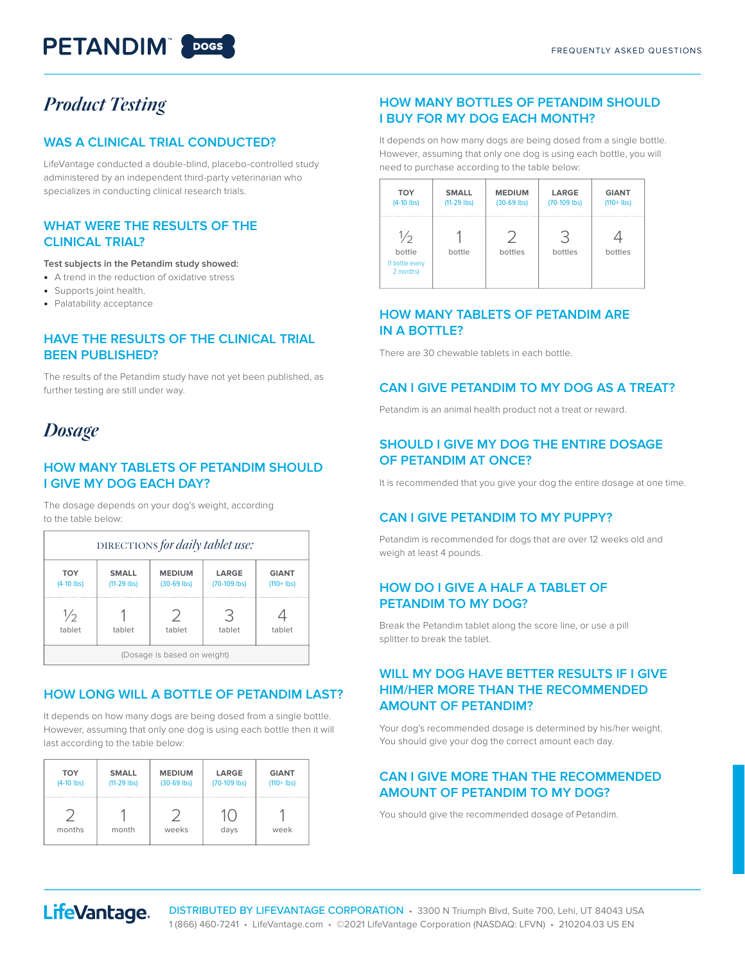## **PETANDIM** 20065

## *Product Testing*

#### **WAS A CLINICAL TRIAL CONDUCTED?**

LifeVantage conducted a double-blind, placebo-controlled study administered by an independent third-party veterinarian who specializes in conducting clinical research trials.

#### **WHAT WERE THE RESULTS OF THE CLINICAL TRIAL?**

**Test subjects in the Petandim study showed:**

- **•** A trend in the reduction of oxidative stress
- **•** Supports joint health.
- **•** Palatability acceptance

#### **HAVE THE RESULTS OF THE CLINICAL TRIAL BEEN PUBLISHED?**

The results of the Petandim study have not yet been published, as further testing are still under way.

### *Dosage*

#### **HOW MANY TABLETS OF PETANDIM SHOULD I GIVE MY DOG EACH DAY?**

The dosage depends on your dog's weight, according to the table below:

| DIRECTIONS for daily tablet use: |                               |                                |                       |                               |  |  |
|----------------------------------|-------------------------------|--------------------------------|-----------------------|-------------------------------|--|--|
| <b>TOY</b><br>$(4-10$ lbs)       | <b>SMALL</b><br>$(11-29$ lbs) | <b>MEDIUM</b><br>$(30-69$ lbs) | LARGE<br>(70-109 lbs) | <b>GIANT</b><br>$(110 + 1bs)$ |  |  |
| $\frac{1}{2}$<br>tablet          | tablet                        | ノ<br>tablet                    | 3<br>tablet           | tablet                        |  |  |
| (Dosage is based on weight)      |                               |                                |                       |                               |  |  |

#### **HOW LONG WILL A BOTTLE OF PETANDIM LAST?**

It depends on how many dogs are being dosed from a single bottle. However, assuming that only one dog is using each bottle then it will last according to the table below:

| <b>TOY</b>   | <b>SMALL</b>  | <b>MEDIUM</b> | LARGE        | <b>GIANT</b>  |
|--------------|---------------|---------------|--------------|---------------|
| $(4-10$ lbs) | $(11-29$ lbs) | $(30-69$ lbs) | (70-109 lbs) | $(110 + Ibs)$ |
| months       | month         | weeks         | days         | week          |

#### **HOW MANY BOTTLES OF PETANDIM SHOULD I BUY FOR MY DOG EACH MONTH?**

It depends on how many dogs are being dosed from a single bottle. However, assuming that only one dog is using each bottle, you will need to purchase according to the table below:

| <b>TOY</b>                                              | <b>SMALL</b>  | <b>MEDIUM</b> | LARGE          | <b>GIANT</b>  |
|---------------------------------------------------------|---------------|---------------|----------------|---------------|
| $(4-10$ lbs)                                            | $(11-29$ lbs) | $(30-69$ lbs) | $(70-109$ lbs) | $(110 + Ibs)$ |
| $\frac{1}{2}$<br>bottle<br>(1 bottle every<br>2 months) | bottle        | bottles       | bottles        | bottles       |

#### **HOW MANY TABLETS OF PETANDIM ARE IN A BOTTLE?**

There are 30 chewable tablets in each bottle.

#### **CAN I GIVE PETANDIM TO MY DOG AS A TREAT?**

Petandim is an animal health product not a treat or reward.

#### **SHOULD I GIVE MY DOG THE ENTIRE DOSAGE OF PETANDIM AT ONCE?**

It is recommended that you give your dog the entire dosage at one time.

#### **CAN I GIVE PETANDIM TO MY PUPPY?**

Petandim is recommended for dogs that are over 12 weeks old and weigh at least 4 pounds.

#### **HOW DO I GIVE A HALF A TABLET OF PETANDIM TO MY DOG?**

Break the Petandim tablet along the score line, or use a pill splitter to break the tablet.

#### **WILL MY DOG HAVE BETTER RESULTS IF I GIVE HIM/HER MORE THAN THE RECOMMENDED AMOUNT OF PETANDIM?**

Your dog's recommended dosage is determined by his/her weight. You should give your dog the correct amount each day.

#### **CAN I GIVE MORE THAN THE RECOMMENDED AMOUNT OF PETANDIM TO MY DOG?**

You should give the recommended dosage of Petandim.

## LifeVantage.

DISTRIBUTED BY LIFEVANTAGE CORPORATION • 3300 N Triumph Blvd, Suite 700, Lehi, UT 84043 USA 1 (866) 460-7241 • LifeVantage.com • ©2021 LifeVantage Corporation (NASDAQ: LFVN) • 210204.03 US EN